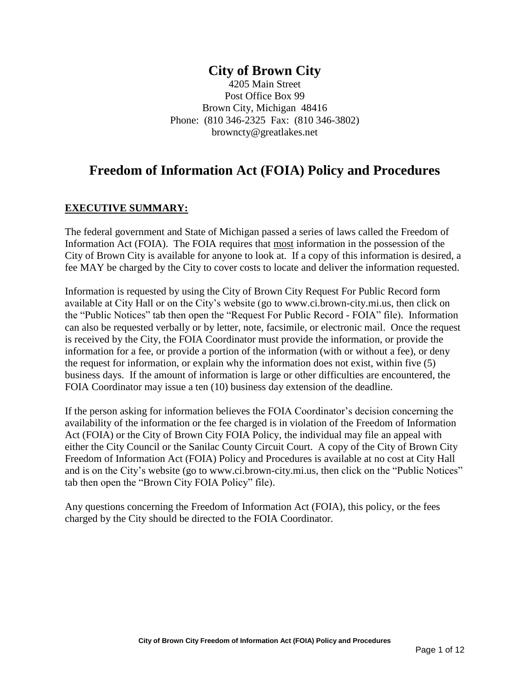# **City of Brown City**

4205 Main Street Post Office Box 99 Brown City, Michigan 48416 Phone: (810 346-2325 Fax: (810 346-3802) browncty@greatlakes.net

# **Freedom of Information Act (FOIA) Policy and Procedures**

# **EXECUTIVE SUMMARY:**

The federal government and State of Michigan passed a series of laws called the Freedom of Information Act (FOIA). The FOIA requires that most information in the possession of the City of Brown City is available for anyone to look at. If a copy of this information is desired, a fee MAY be charged by the City to cover costs to locate and deliver the information requested.

Information is requested by using the City of Brown City Request For Public Record form available at City Hall or on the City's website (go to www.ci.brown-city.mi.us, then click on the "Public Notices" tab then open the "Request For Public Record - FOIA" file). Information can also be requested verbally or by letter, note, facsimile, or electronic mail. Once the request is received by the City, the FOIA Coordinator must provide the information, or provide the information for a fee, or provide a portion of the information (with or without a fee), or deny the request for information, or explain why the information does not exist, within five (5) business days. If the amount of information is large or other difficulties are encountered, the FOIA Coordinator may issue a ten (10) business day extension of the deadline.

If the person asking for information believes the FOIA Coordinator's decision concerning the availability of the information or the fee charged is in violation of the Freedom of Information Act (FOIA) or the City of Brown City FOIA Policy, the individual may file an appeal with either the City Council or the Sanilac County Circuit Court. A copy of the City of Brown City Freedom of Information Act (FOIA) Policy and Procedures is available at no cost at City Hall and is on the City's website (go to www.ci.brown-city.mi.us, then click on the "Public Notices" tab then open the "Brown City FOIA Policy" file).

Any questions concerning the Freedom of Information Act (FOIA), this policy, or the fees charged by the City should be directed to the FOIA Coordinator.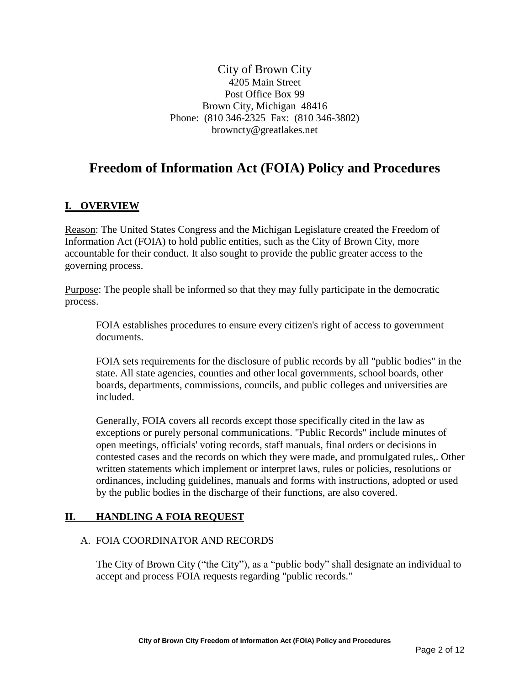City of Brown City 4205 Main Street Post Office Box 99 Brown City, Michigan 48416 Phone: (810 346-2325 Fax: (810 346-3802) browncty@greatlakes.net

# **Freedom of Information Act (FOIA) Policy and Procedures**

# **I. OVERVIEW**

Reason: The United States Congress and the Michigan Legislature created the Freedom of Information Act (FOIA) to hold public entities, such as the City of Brown City, more accountable for their conduct. It also sought to provide the public greater access to the governing process.

Purpose: The people shall be informed so that they may fully participate in the democratic process.

FOIA establishes procedures to ensure every citizen's right of access to government documents.

FOIA sets requirements for the disclosure of public records by all "public bodies" in the state. All state agencies, counties and other local governments, school boards, other boards, departments, commissions, councils, and public colleges and universities are included.

Generally, FOIA covers all records except those specifically cited in the law as exceptions or purely personal communications. "Public Records" include minutes of open meetings, officials' voting records, staff manuals, final orders or decisions in contested cases and the records on which they were made, and promulgated rules,. Other written statements which implement or interpret laws, rules or policies, resolutions or ordinances, including guidelines, manuals and forms with instructions, adopted or used by the public bodies in the discharge of their functions, are also covered.

### **II. HANDLING A FOIA REQUEST**

#### A. FOIA COORDINATOR AND RECORDS

The City of Brown City ("the City"), as a "public body" shall designate an individual to accept and process FOIA requests regarding "public records."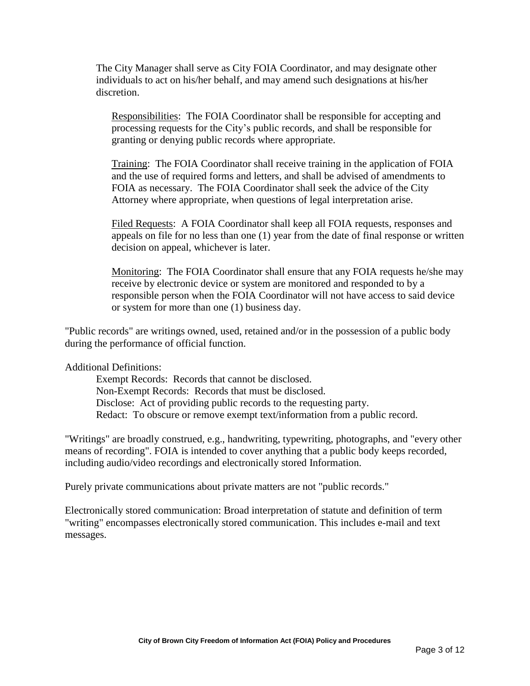The City Manager shall serve as City FOIA Coordinator, and may designate other individuals to act on his/her behalf, and may amend such designations at his/her discretion.

Responsibilities: The FOIA Coordinator shall be responsible for accepting and processing requests for the City's public records, and shall be responsible for granting or denying public records where appropriate.

Training: The FOIA Coordinator shall receive training in the application of FOIA and the use of required forms and letters, and shall be advised of amendments to FOIA as necessary. The FOIA Coordinator shall seek the advice of the City Attorney where appropriate, when questions of legal interpretation arise.

Filed Requests: A FOIA Coordinator shall keep all FOIA requests, responses and appeals on file for no less than one (1) year from the date of final response or written decision on appeal, whichever is later.

Monitoring: The FOIA Coordinator shall ensure that any FOIA requests he/she may receive by electronic device or system are monitored and responded to by a responsible person when the FOIA Coordinator will not have access to said device or system for more than one (1) business day.

"Public records" are writings owned, used, retained and/or in the possession of a public body during the performance of official function.

Additional Definitions:

Exempt Records: Records that cannot be disclosed. Non-Exempt Records: Records that must be disclosed. Disclose: Act of providing public records to the requesting party. Redact: To obscure or remove exempt text/information from a public record.

"Writings" are broadly construed, e.g., handwriting, typewriting, photographs, and "every other means of recording". FOIA is intended to cover anything that a public body keeps recorded, including audio/video recordings and electronically stored Information.

Purely private communications about private matters are not "public records."

Electronically stored communication: Broad interpretation of statute and definition of term "writing" encompasses electronically stored communication. This includes e-mail and text messages.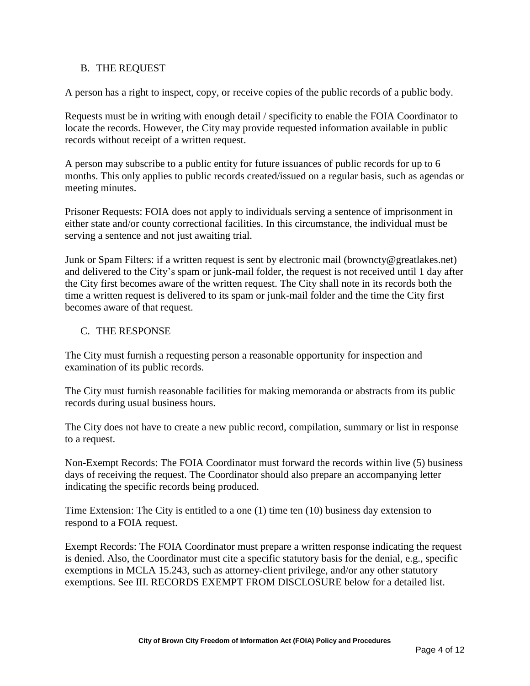#### B. THE REQUEST

A person has a right to inspect, copy, or receive copies of the public records of a public body.

Requests must be in writing with enough detail / specificity to enable the FOIA Coordinator to locate the records. However, the City may provide requested information available in public records without receipt of a written request.

A person may subscribe to a public entity for future issuances of public records for up to 6 months. This only applies to public records created/issued on a regular basis, such as agendas or meeting minutes.

Prisoner Requests: FOIA does not apply to individuals serving a sentence of imprisonment in either state and/or county correctional facilities. In this circumstance, the individual must be serving a sentence and not just awaiting trial.

Junk or Spam Filters: if a written request is sent by electronic mail (browncty@greatlakes.net) and delivered to the City's spam or junk-mail folder, the request is not received until 1 day after the City first becomes aware of the written request. The City shall note in its records both the time a written request is delivered to its spam or junk-mail folder and the time the City first becomes aware of that request.

#### C. THE RESPONSE

The City must furnish a requesting person a reasonable opportunity for inspection and examination of its public records.

The City must furnish reasonable facilities for making memoranda or abstracts from its public records during usual business hours.

The City does not have to create a new public record, compilation, summary or list in response to a request.

Non-Exempt Records: The FOIA Coordinator must forward the records within live (5) business days of receiving the request. The Coordinator should also prepare an accompanying letter indicating the specific records being produced.

Time Extension: The City is entitled to a one (1) time ten (10) business day extension to respond to a FOIA request.

Exempt Records: The FOIA Coordinator must prepare a written response indicating the request is denied. Also, the Coordinator must cite a specific statutory basis for the denial, e.g., specific exemptions in MCLA 15.243, such as attorney-client privilege, and/or any other statutory exemptions. See III. RECORDS EXEMPT FROM DISCLOSURE below for a detailed list.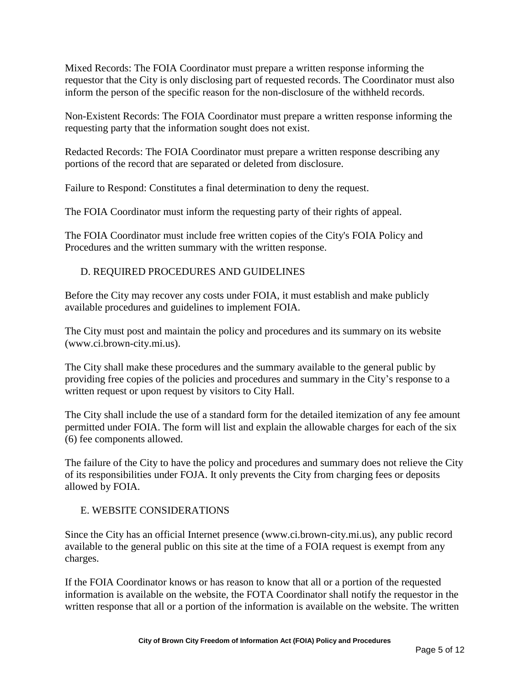Mixed Records: The FOIA Coordinator must prepare a written response informing the requestor that the City is only disclosing part of requested records. The Coordinator must also inform the person of the specific reason for the non-disclosure of the withheld records.

Non-Existent Records: The FOIA Coordinator must prepare a written response informing the requesting party that the information sought does not exist.

Redacted Records: The FOIA Coordinator must prepare a written response describing any portions of the record that are separated or deleted from disclosure.

Failure to Respond: Constitutes a final determination to deny the request.

The FOIA Coordinator must inform the requesting party of their rights of appeal.

The FOIA Coordinator must include free written copies of the City's FOIA Policy and Procedures and the written summary with the written response.

### D. REQUIRED PROCEDURES AND GUIDELINES

Before the City may recover any costs under FOIA, it must establish and make publicly available procedures and guidelines to implement FOIA.

The City must post and maintain the policy and procedures and its summary on its website (www.ci.brown-city.mi.us).

The City shall make these procedures and the summary available to the general public by providing free copies of the policies and procedures and summary in the City's response to a written request or upon request by visitors to City Hall.

The City shall include the use of a standard form for the detailed itemization of any fee amount permitted under FOIA. The form will list and explain the allowable charges for each of the six (6) fee components allowed.

The failure of the City to have the policy and procedures and summary does not relieve the City of its responsibilities under FOJA. It only prevents the City from charging fees or deposits allowed by FOIA.

#### E. WEBSITE CONSIDERATIONS

Since the City has an official Internet presence (www.ci.brown-city.mi.us), any public record available to the general public on this site at the time of a FOIA request is exempt from any charges.

If the FOIA Coordinator knows or has reason to know that all or a portion of the requested information is available on the website, the FOTA Coordinator shall notify the requestor in the written response that all or a portion of the information is available on the website. The written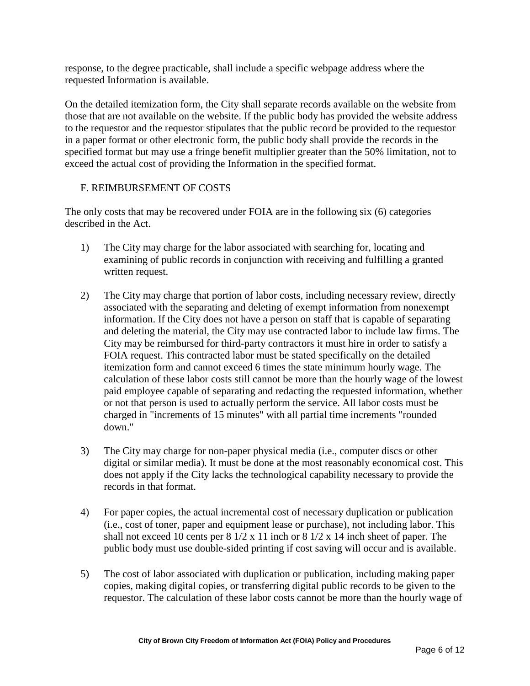response, to the degree practicable, shall include a specific webpage address where the requested Information is available.

On the detailed itemization form, the City shall separate records available on the website from those that are not available on the website. If the public body has provided the website address to the requestor and the requestor stipulates that the public record be provided to the requestor in a paper format or other electronic form, the public body shall provide the records in the specified format but may use a fringe benefit multiplier greater than the 50% limitation, not to exceed the actual cost of providing the Information in the specified format.

### F. REIMBURSEMENT OF COSTS

The only costs that may be recovered under FOIA are in the following six (6) categories described in the Act.

- 1) The City may charge for the labor associated with searching for, locating and examining of public records in conjunction with receiving and fulfilling a granted written request.
- 2) The City may charge that portion of labor costs, including necessary review, directly associated with the separating and deleting of exempt information from nonexempt information. If the City does not have a person on staff that is capable of separating and deleting the material, the City may use contracted labor to include law firms. The City may be reimbursed for third-party contractors it must hire in order to satisfy a FOIA request. This contracted labor must be stated specifically on the detailed itemization form and cannot exceed 6 times the state minimum hourly wage. The calculation of these labor costs still cannot be more than the hourly wage of the lowest paid employee capable of separating and redacting the requested information, whether or not that person is used to actually perform the service. All labor costs must be charged in "increments of 15 minutes" with all partial time increments "rounded down."
- 3) The City may charge for non-paper physical media (i.e., computer discs or other digital or similar media). It must be done at the most reasonably economical cost. This does not apply if the City lacks the technological capability necessary to provide the records in that format.
- 4) For paper copies, the actual incremental cost of necessary duplication or publication (i.e., cost of toner, paper and equipment lease or purchase), not including labor. This shall not exceed 10 cents per  $8 \frac{1}{2} \times 11$  inch or  $8 \frac{1}{2} \times 14$  inch sheet of paper. The public body must use double-sided printing if cost saving will occur and is available.
- 5) The cost of labor associated with duplication or publication, including making paper copies, making digital copies, or transferring digital public records to be given to the requestor. The calculation of these labor costs cannot be more than the hourly wage of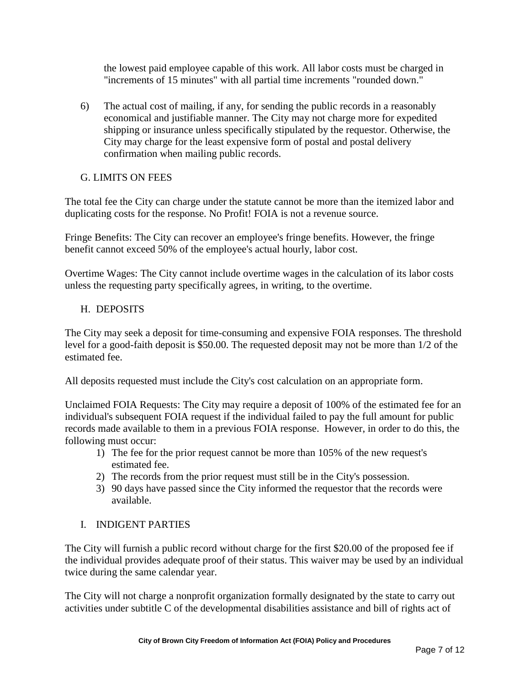the lowest paid employee capable of this work. All labor costs must be charged in "increments of 15 minutes" with all partial time increments "rounded down."

6) The actual cost of mailing, if any, for sending the public records in a reasonably economical and justifiable manner. The City may not charge more for expedited shipping or insurance unless specifically stipulated by the requestor. Otherwise, the City may charge for the least expensive form of postal and postal delivery confirmation when mailing public records.

### G. LIMITS ON FEES

The total fee the City can charge under the statute cannot be more than the itemized labor and duplicating costs for the response. No Profit! FOIA is not a revenue source.

Fringe Benefits: The City can recover an employee's fringe benefits. However, the fringe benefit cannot exceed 50% of the employee's actual hourly, labor cost.

Overtime Wages: The City cannot include overtime wages in the calculation of its labor costs unless the requesting party specifically agrees, in writing, to the overtime.

#### H. DEPOSITS

The City may seek a deposit for time-consuming and expensive FOIA responses. The threshold level for a good-faith deposit is \$50.00. The requested deposit may not be more than 1/2 of the estimated fee.

All deposits requested must include the City's cost calculation on an appropriate form.

Unclaimed FOIA Requests: The City may require a deposit of 100% of the estimated fee for an individual's subsequent FOIA request if the individual failed to pay the full amount for public records made available to them in a previous FOIA response. However, in order to do this, the following must occur:

- 1) The fee for the prior request cannot be more than 105% of the new request's estimated fee.
- 2) The records from the prior request must still be in the City's possession.
- 3) 90 days have passed since the City informed the requestor that the records were available.

### I. INDIGENT PARTIES

The City will furnish a public record without charge for the first \$20.00 of the proposed fee if the individual provides adequate proof of their status. This waiver may be used by an individual twice during the same calendar year.

The City will not charge a nonprofit organization formally designated by the state to carry out activities under subtitle C of the developmental disabilities assistance and bill of rights act of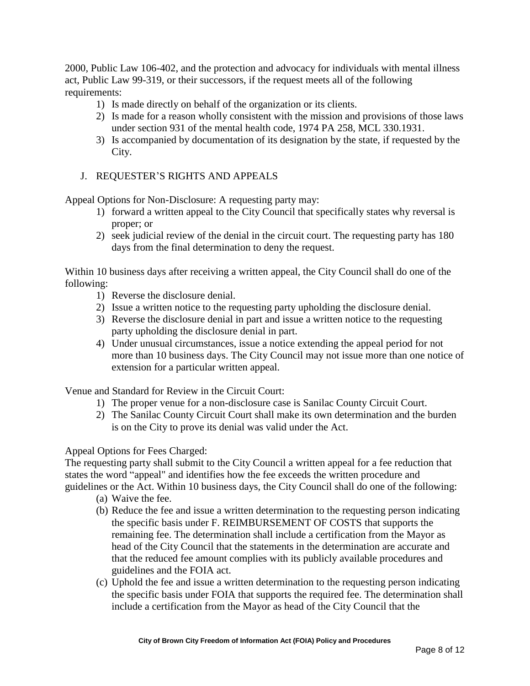2000, Public Law 106-402, and the protection and advocacy for individuals with mental illness act, Public Law 99-319, or their successors, if the request meets all of the following requirements:

- 1) Is made directly on behalf of the organization or its clients.
- 2) Is made for a reason wholly consistent with the mission and provisions of those laws under section 931 of the mental health code, 1974 PA 258, MCL 330.1931.
- 3) Is accompanied by documentation of its designation by the state, if requested by the City.
- J. REQUESTER'S RIGHTS AND APPEALS

Appeal Options for Non-Disclosure: A requesting party may:

- 1) forward a written appeal to the City Council that specifically states why reversal is proper; or
- 2) seek judicial review of the denial in the circuit court. The requesting party has 180 days from the final determination to deny the request.

Within 10 business days after receiving a written appeal, the City Council shall do one of the following:

- 1) Reverse the disclosure denial.
- 2) Issue a written notice to the requesting party upholding the disclosure denial.
- 3) Reverse the disclosure denial in part and issue a written notice to the requesting party upholding the disclosure denial in part.
- 4) Under unusual circumstances, issue a notice extending the appeal period for not more than 10 business days. The City Council may not issue more than one notice of extension for a particular written appeal.

Venue and Standard for Review in the Circuit Court:

- 1) The proper venue for a non-disclosure case is Sanilac County Circuit Court.
- 2) The Sanilac County Circuit Court shall make its own determination and the burden is on the City to prove its denial was valid under the Act.

Appeal Options for Fees Charged:

The requesting party shall submit to the City Council a written appeal for a fee reduction that states the word "appeal" and identifies how the fee exceeds the written procedure and guidelines or the Act. Within 10 business days, the City Council shall do one of the following:

- (a) Waive the fee.
- (b) Reduce the fee and issue a written determination to the requesting person indicating the specific basis under F. REIMBURSEMENT OF COSTS that supports the remaining fee. The determination shall include a certification from the Mayor as head of the City Council that the statements in the determination are accurate and that the reduced fee amount complies with its publicly available procedures and guidelines and the FOIA act.
- (c) Uphold the fee and issue a written determination to the requesting person indicating the specific basis under FOIA that supports the required fee. The determination shall include a certification from the Mayor as head of the City Council that the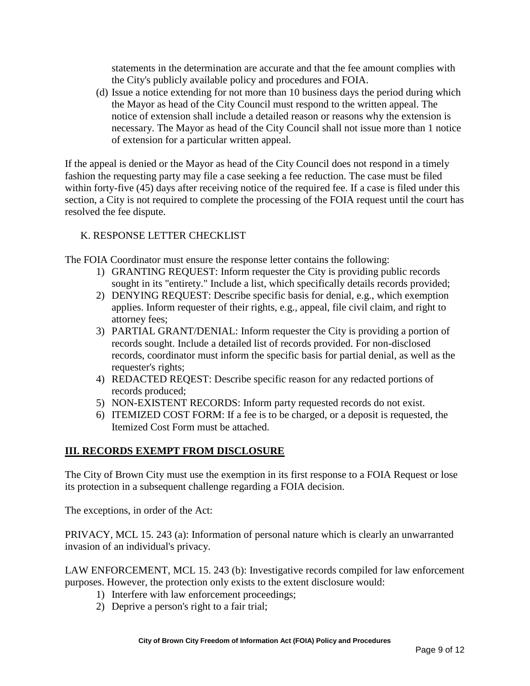statements in the determination are accurate and that the fee amount complies with the City's publicly available policy and procedures and FOIA.

(d) Issue a notice extending for not more than 10 business days the period during which the Mayor as head of the City Council must respond to the written appeal. The notice of extension shall include a detailed reason or reasons why the extension is necessary. The Mayor as head of the City Council shall not issue more than 1 notice of extension for a particular written appeal.

If the appeal is denied or the Mayor as head of the City Council does not respond in a timely fashion the requesting party may file a case seeking a fee reduction. The case must be filed within forty-five (45) days after receiving notice of the required fee. If a case is filed under this section, a City is not required to complete the processing of the FOIA request until the court has resolved the fee dispute.

# K. RESPONSE LETTER CHECKLIST

The FOIA Coordinator must ensure the response letter contains the following:

- 1) GRANTING REQUEST: Inform requester the City is providing public records sought in its "entirety." Include a list, which specifically details records provided;
- 2) DENYING REQUEST: Describe specific basis for denial, e.g., which exemption applies. Inform requester of their rights, e.g., appeal, file civil claim, and right to attorney fees;
- 3) PARTIAL GRANT/DENIAL: Inform requester the City is providing a portion of records sought. Include a detailed list of records provided. For non-disclosed records, coordinator must inform the specific basis for partial denial, as well as the requester's rights;
- 4) REDACTED REQEST: Describe specific reason for any redacted portions of records produced;
- 5) NON-EXISTENT RECORDS: Inform party requested records do not exist.
- 6) ITEMIZED COST FORM: If a fee is to be charged, or a deposit is requested, the Itemized Cost Form must be attached.

### **III. RECORDS EXEMPT FROM DISCLOSURE**

The City of Brown City must use the exemption in its first response to a FOIA Request or lose its protection in a subsequent challenge regarding a FOIA decision.

The exceptions, in order of the Act:

PRIVACY, MCL 15. 243 (a): Information of personal nature which is clearly an unwarranted invasion of an individual's privacy.

LAW ENFORCEMENT, MCL 15. 243 (b): Investigative records compiled for law enforcement purposes. However, the protection only exists to the extent disclosure would:

- 1) Interfere with law enforcement proceedings;
- 2) Deprive a person's right to a fair trial;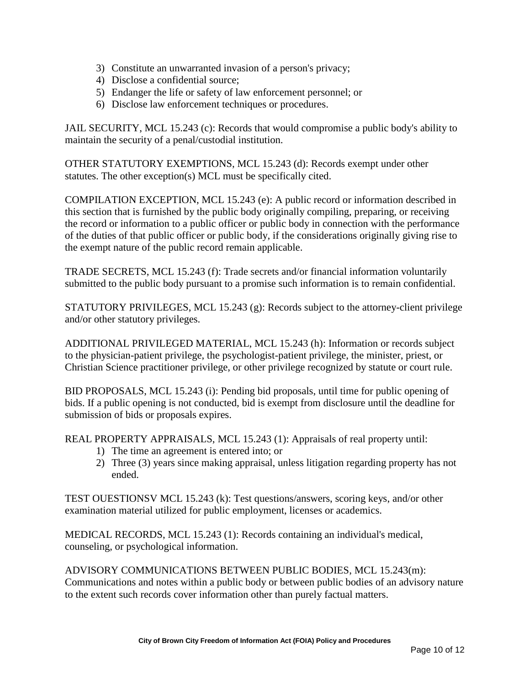- 3) Constitute an unwarranted invasion of a person's privacy;
- 4) Disclose a confidential source;
- 5) Endanger the life or safety of law enforcement personnel; or
- 6) Disclose law enforcement techniques or procedures.

JAIL SECURITY, MCL 15.243 (c): Records that would compromise a public body's ability to maintain the security of a penal/custodial institution.

OTHER STATUTORY EXEMPTIONS, MCL 15.243 (d): Records exempt under other statutes. The other exception(s) MCL must be specifically cited.

COMPILATION EXCEPTION, MCL 15.243 (e): A public record or information described in this section that is furnished by the public body originally compiling, preparing, or receiving the record or information to a public officer or public body in connection with the performance of the duties of that public officer or public body, if the considerations originally giving rise to the exempt nature of the public record remain applicable.

TRADE SECRETS, MCL 15.243 (f): Trade secrets and/or financial information voluntarily submitted to the public body pursuant to a promise such information is to remain confidential.

STATUTORY PRIVILEGES, MCL 15.243 (g): Records subject to the attorney-client privilege and/or other statutory privileges.

ADDITIONAL PRIVILEGED MATERIAL, MCL 15.243 (h): Information or records subject to the physician-patient privilege, the psychologist-patient privilege, the minister, priest, or Christian Science practitioner privilege, or other privilege recognized by statute or court rule.

BID PROPOSALS, MCL 15.243 (i): Pending bid proposals, until time for public opening of bids. If a public opening is not conducted, bid is exempt from disclosure until the deadline for submission of bids or proposals expires.

REAL PROPERTY APPRAISALS, MCL 15.243 (1): Appraisals of real property until:

- 1) The time an agreement is entered into; or
- 2) Three (3) years since making appraisal, unless litigation regarding property has not ended.

TEST OUESTIONSV MCL 15.243 (k): Test questions/answers, scoring keys, and/or other examination material utilized for public employment, licenses or academics.

MEDICAL RECORDS, MCL 15.243 (1): Records containing an individual's medical, counseling, or psychological information.

ADVISORY COMMUNICATIONS BETWEEN PUBLIC BODIES, MCL 15.243(m): Communications and notes within a public body or between public bodies of an advisory nature to the extent such records cover information other than purely factual matters.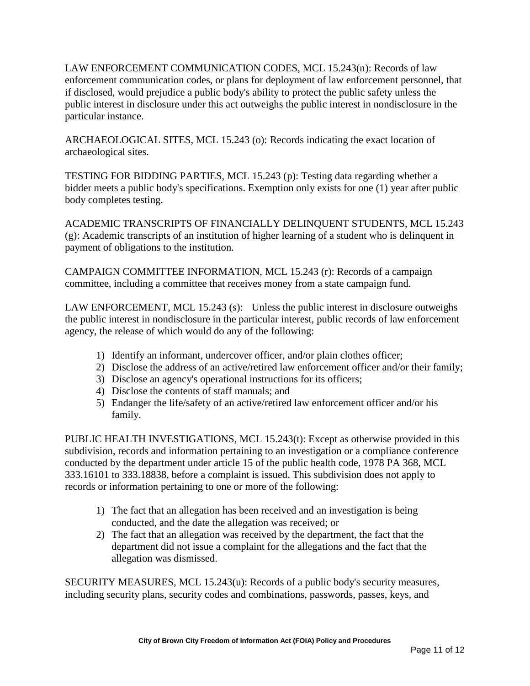LAW ENFORCEMENT COMMUNICATION CODES, MCL 15.243(n): Records of law enforcement communication codes, or plans for deployment of law enforcement personnel, that if disclosed, would prejudice a public body's ability to protect the public safety unless the public interest in disclosure under this act outweighs the public interest in nondisclosure in the particular instance.

ARCHAEOLOGICAL SITES, MCL 15.243 (o): Records indicating the exact location of archaeological sites.

TESTING FOR BIDDING PARTIES, MCL 15.243 (p): Testing data regarding whether a bidder meets a public body's specifications. Exemption only exists for one (1) year after public body completes testing.

ACADEMIC TRANSCRIPTS OF FINANCIALLY DELINQUENT STUDENTS, MCL 15.243 (g): Academic transcripts of an institution of higher learning of a student who is delinquent in payment of obligations to the institution.

CAMPAIGN COMMITTEE INFORMATION, MCL 15.243 (r): Records of a campaign committee, including a committee that receives money from a state campaign fund.

LAW ENFORCEMENT, MCL 15.243 (s): Unless the public interest in disclosure outweighs the public interest in nondisclosure in the particular interest, public records of law enforcement agency, the release of which would do any of the following:

- 1) Identify an informant, undercover officer, and/or plain clothes officer;
- 2) Disclose the address of an active/retired law enforcement officer and/or their family;
- 3) Disclose an agency's operational instructions for its officers;
- 4) Disclose the contents of staff manuals; and
- 5) Endanger the life/safety of an active/retired law enforcement officer and/or his family.

PUBLIC HEALTH INVESTIGATIONS, MCL 15.243(t): Except as otherwise provided in this subdivision, records and information pertaining to an investigation or a compliance conference conducted by the department under article 15 of the public health code, 1978 PA 368, MCL 333.16101 to 333.18838, before a complaint is issued. This subdivision does not apply to records or information pertaining to one or more of the following:

- 1) The fact that an allegation has been received and an investigation is being conducted, and the date the allegation was received; or
- 2) The fact that an allegation was received by the department, the fact that the department did not issue a complaint for the allegations and the fact that the allegation was dismissed.

SECURITY MEASURES, MCL 15.243(u): Records of a public body's security measures, including security plans, security codes and combinations, passwords, passes, keys, and